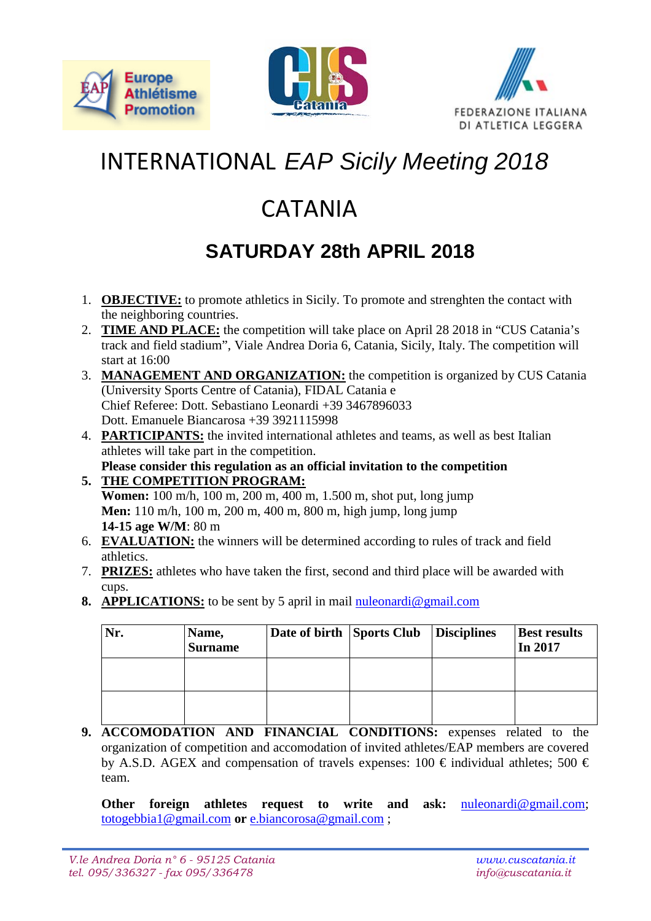





## INTERNATIONAL *EAP Sicily Meeting 2018*

## CATANIA

## **SATURDAY 28th APRIL 2018**

- 1. **OBJECTIVE:** to promote athletics in Sicily. To promote and strenghten the contact with the neighboring countries.
- 2. **TIME AND PLACE:** the competition will take place on April 28 2018 in "CUS Catania's track and field stadium", Viale Andrea Doria 6, Catania, Sicily, Italy. The competition will start at 16:00
- 3. **MANAGEMENT AND ORGANIZATION:** the competition is organized by CUS Catania (University Sports Centre of Catania), FIDAL Catania e Chief Referee: Dott. Sebastiano Leonardi +39 3467896033 Dott. Emanuele Biancarosa +39 3921115998
- 4. **PARTICIPANTS:** the invited international athletes and teams, as well as best Italian athletes will take part in the competition. **Please consider this regulation as an official invitation to the competition**
- **5. THE COMPETITION PROGRAM: Women:** 100 m/h, 100 m, 200 m, 400 m, 1.500 m, shot put, long jump **Men:** 110 m/h, 100 m, 200 m, 400 m, 800 m, high jump, long jump **14-15 age W/M**: 80 m
- 6. **EVALUATION:** the winners will be determined according to rules of track and field athletics.
- 7. **PRIZES:** athletes who have taken the first, second and third place will be awarded with cups.
- **8. APPLICATIONS:** to be sent by 5 april in mail [nuleonardi@gmail.com](mailto:nuleonardi@gmail.com)

| Nr. | Name,<br><b>Surname</b> | Date of birth Sports Club | <i>Disciplines</i> | <b>Best results</b><br>In 2017 |
|-----|-------------------------|---------------------------|--------------------|--------------------------------|
|     |                         |                           |                    |                                |
|     |                         |                           |                    |                                |

**9. ACCOMODATION AND FINANCIAL CONDITIONS:** expenses related to the organization of competition and accomodation of invited athletes/EAP members are covered by A.S.D. AGEX and compensation of travels expenses: 100  $\epsilon$  individual athletes; 500  $\epsilon$ team.

**Other foreign athletes request to write and ask: [nuleonardi@gmail.com;](mailto:nuleonardi@gmail.com)** [totogebbia1@gmail.com](mailto:totogebbia1@gmail.com) **or** [e.biancorosa@gmail.com](mailto:e.biancorosa@gmail.com) ;